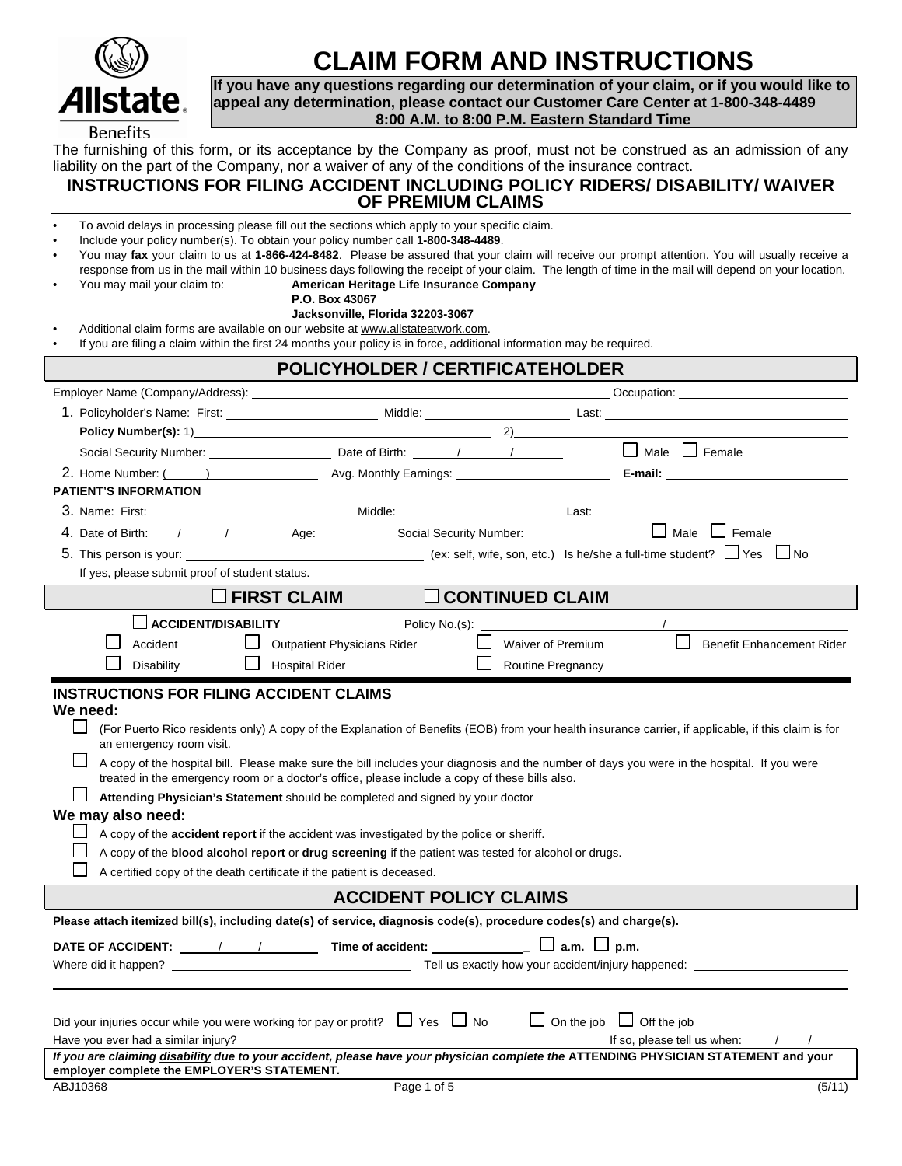

# **CLAIM FORM AND INSTRUCTIONS**

**If you have any questions regarding our determination of your claim, or if you would like to appeal any determination, please contact our Customer Care Center at 1-800-348-4489 8:00 A.M. to 8:00 P.M. Eastern Standard Time**

The furnishing of this form, or its acceptance by the Company as proof, must not be construed as an admission of any liability on the part of the Company, nor a waiver of any of the conditions of the insurance contract.

### **INSTRUCTIONS FOR FILING ACCIDENT INCLUDING POLICY RIDERS/ DISABILITY/ WAIVER OF PREMIUM CLAIMS**

|  |  |  | To avoid delays in processing please fill out the sections which apply to your specific claim. |  |  |
|--|--|--|------------------------------------------------------------------------------------------------|--|--|
|--|--|--|------------------------------------------------------------------------------------------------|--|--|

- Include your policy number(s). To obtain your policy number call **1-800-348-4489**.
- You may **fax** your claim to us at **1-866-424-8482**. Please be assured that your claim will receive our prompt attention. You will usually receive a response from us in the mail within 10 business days following the receipt of your claim. The length of time in the mail will depend on your location.
	- You may mail your claim to: **American Heritage Life Insurance Company** 
		- **P.O. Box 43067**

#### **Jacksonville, Florida 32203-3067**

- Additional claim forms are available on our website at www.allstateatwork.com.
- If you are filing a claim within the first 24 months your policy is in force, additional information may be required.

|                                                                                                                                                                                                                                                                                                                                                                                                                                                                                                                                                                                                                                                                                                                                                                                                                                         | POLICYHOLDER / CERTIFICATEHOLDER                                                                                                                                                                                                          |                                  |  |  |
|-----------------------------------------------------------------------------------------------------------------------------------------------------------------------------------------------------------------------------------------------------------------------------------------------------------------------------------------------------------------------------------------------------------------------------------------------------------------------------------------------------------------------------------------------------------------------------------------------------------------------------------------------------------------------------------------------------------------------------------------------------------------------------------------------------------------------------------------|-------------------------------------------------------------------------------------------------------------------------------------------------------------------------------------------------------------------------------------------|----------------------------------|--|--|
|                                                                                                                                                                                                                                                                                                                                                                                                                                                                                                                                                                                                                                                                                                                                                                                                                                         |                                                                                                                                                                                                                                           |                                  |  |  |
|                                                                                                                                                                                                                                                                                                                                                                                                                                                                                                                                                                                                                                                                                                                                                                                                                                         |                                                                                                                                                                                                                                           |                                  |  |  |
| Policy Number(s): 1) <b>COLLEGATE:</b> No. 2014                                                                                                                                                                                                                                                                                                                                                                                                                                                                                                                                                                                                                                                                                                                                                                                         | $\overline{\phantom{a}2)}$                                                                                                                                                                                                                |                                  |  |  |
|                                                                                                                                                                                                                                                                                                                                                                                                                                                                                                                                                                                                                                                                                                                                                                                                                                         |                                                                                                                                                                                                                                           | $\Box$ Male $\Box$ Female        |  |  |
|                                                                                                                                                                                                                                                                                                                                                                                                                                                                                                                                                                                                                                                                                                                                                                                                                                         | 2. Home Number: ( <u>2001)</u> 2. Home Number: (2001) 2. Home Number: (2001) 2. Home Number: (2001) 2. Home Number: (2001) 2. Home Number 2. Avg. Monthly Earnings: <u>2. Avg. Monthly Earnings:</u> 2. Home 2. Home 2. Home 2. Home 2. H |                                  |  |  |
| <b>PATIENT'S INFORMATION</b>                                                                                                                                                                                                                                                                                                                                                                                                                                                                                                                                                                                                                                                                                                                                                                                                            |                                                                                                                                                                                                                                           |                                  |  |  |
|                                                                                                                                                                                                                                                                                                                                                                                                                                                                                                                                                                                                                                                                                                                                                                                                                                         |                                                                                                                                                                                                                                           |                                  |  |  |
|                                                                                                                                                                                                                                                                                                                                                                                                                                                                                                                                                                                                                                                                                                                                                                                                                                         | 4. Date of Birth: 1 1 1 Age: 1 Age: Social Security Number: 1 Male Female                                                                                                                                                                 |                                  |  |  |
|                                                                                                                                                                                                                                                                                                                                                                                                                                                                                                                                                                                                                                                                                                                                                                                                                                         | 5. This person is your: $\Box$                                                                                                                                                                                                            |                                  |  |  |
| If yes, please submit proof of student status.                                                                                                                                                                                                                                                                                                                                                                                                                                                                                                                                                                                                                                                                                                                                                                                          |                                                                                                                                                                                                                                           |                                  |  |  |
|                                                                                                                                                                                                                                                                                                                                                                                                                                                                                                                                                                                                                                                                                                                                                                                                                                         | <b>CONTINUED CLAIM</b><br><b>FIRST CLAIM</b>                                                                                                                                                                                              |                                  |  |  |
| $\Box$ ACCIDENT/DISABILITY                                                                                                                                                                                                                                                                                                                                                                                                                                                                                                                                                                                                                                                                                                                                                                                                              | Policy No.(s):                                                                                                                                                                                                                            |                                  |  |  |
| Accident                                                                                                                                                                                                                                                                                                                                                                                                                                                                                                                                                                                                                                                                                                                                                                                                                                | <b>Outpatient Physicians Rider</b><br>Waiver of Premium                                                                                                                                                                                   | <b>Benefit Enhancement Rider</b> |  |  |
| Disability                                                                                                                                                                                                                                                                                                                                                                                                                                                                                                                                                                                                                                                                                                                                                                                                                              | <b>Hospital Rider</b><br><b>Routine Pregnancy</b>                                                                                                                                                                                         |                                  |  |  |
| We need:<br>(For Puerto Rico residents only) A copy of the Explanation of Benefits (EOB) from your health insurance carrier, if applicable, if this claim is for<br>an emergency room visit.<br>A copy of the hospital bill. Please make sure the bill includes your diagnosis and the number of days you were in the hospital. If you were<br>treated in the emergency room or a doctor's office, please include a copy of these bills also.<br>Attending Physician's Statement should be completed and signed by your doctor<br>We may also need:<br>A copy of the <b>accident report</b> if the accident was investigated by the police or sheriff.<br>A copy of the blood alcohol report or drug screening if the patient was tested for alcohol or drugs.<br>A certified copy of the death certificate if the patient is deceased. |                                                                                                                                                                                                                                           |                                  |  |  |
|                                                                                                                                                                                                                                                                                                                                                                                                                                                                                                                                                                                                                                                                                                                                                                                                                                         | <b>ACCIDENT POLICY CLAIMS</b>                                                                                                                                                                                                             |                                  |  |  |
| Please attach itemized bill(s), including date(s) of service, diagnosis code(s), procedure codes(s) and charge(s).<br>Where did it happen? Notice that the state of the state of the state of the state of the state of the state of the state of the state of the state of the state of the state of the state of the state of the state of the sta                                                                                                                                                                                                                                                                                                                                                                                                                                                                                    |                                                                                                                                                                                                                                           |                                  |  |  |
| $\Box$ On the job $\Box$ Off the job<br>Did your injuries occur while you were working for pay or profit? $\Box$ Yes $\Box$ No                                                                                                                                                                                                                                                                                                                                                                                                                                                                                                                                                                                                                                                                                                          |                                                                                                                                                                                                                                           |                                  |  |  |
| Have you ever had a similar injury?                                                                                                                                                                                                                                                                                                                                                                                                                                                                                                                                                                                                                                                                                                                                                                                                     |                                                                                                                                                                                                                                           | If so, please tell us when:      |  |  |
| employer complete the EMPLOYER'S STATEMENT.                                                                                                                                                                                                                                                                                                                                                                                                                                                                                                                                                                                                                                                                                                                                                                                             | If you are claiming disability due to your accident, please have your physician complete the ATTENDING PHYSICIAN STATEMENT and your                                                                                                       |                                  |  |  |
| ABJ10368                                                                                                                                                                                                                                                                                                                                                                                                                                                                                                                                                                                                                                                                                                                                                                                                                                | Page 1 of 5                                                                                                                                                                                                                               | (5/11)                           |  |  |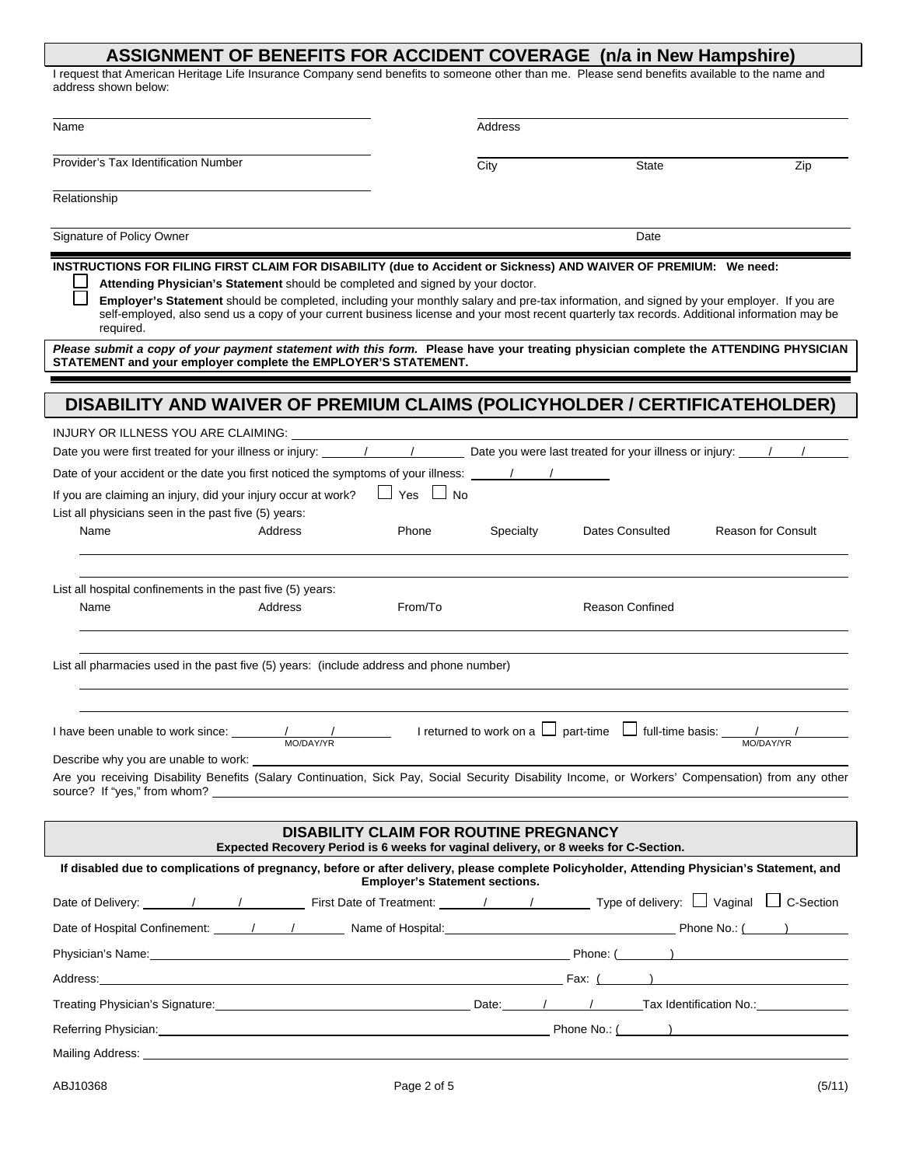# **ASSIGNMENT OF BENEFITS FOR ACCIDENT COVERAGE (n/a in New Hampshire)**

| I request that American Heritage Life Insurance Company send benefits to someone other than me. Please send benefits available to the name and<br>address shown below:                                                                                                                                                                                                                                                                                                                                                                                                                                                                              |                                               |           |                                                                  |                           |
|-----------------------------------------------------------------------------------------------------------------------------------------------------------------------------------------------------------------------------------------------------------------------------------------------------------------------------------------------------------------------------------------------------------------------------------------------------------------------------------------------------------------------------------------------------------------------------------------------------------------------------------------------------|-----------------------------------------------|-----------|------------------------------------------------------------------|---------------------------|
| Name                                                                                                                                                                                                                                                                                                                                                                                                                                                                                                                                                                                                                                                |                                               | Address   |                                                                  |                           |
| Provider's Tax Identification Number                                                                                                                                                                                                                                                                                                                                                                                                                                                                                                                                                                                                                |                                               | City      | State                                                            | Zip                       |
| Relationship                                                                                                                                                                                                                                                                                                                                                                                                                                                                                                                                                                                                                                        |                                               |           |                                                                  |                           |
| Signature of Policy Owner                                                                                                                                                                                                                                                                                                                                                                                                                                                                                                                                                                                                                           |                                               |           | Date                                                             |                           |
| INSTRUCTIONS FOR FILING FIRST CLAIM FOR DISABILITY (due to Accident or Sickness) AND WAIVER OF PREMIUM: We need:<br>Attending Physician's Statement should be completed and signed by your doctor.<br>Employer's Statement should be completed, including your monthly salary and pre-tax information, and signed by your employer. If you are<br>self-employed, also send us a copy of your current business license and your most recent quarterly tax records. Additional information may be<br>required.<br>Please submit a copy of your payment statement with this form. Please have your treating physician complete the ATTENDING PHYSICIAN |                                               |           |                                                                  |                           |
| STATEMENT and your employer complete the EMPLOYER'S STATEMENT.                                                                                                                                                                                                                                                                                                                                                                                                                                                                                                                                                                                      |                                               |           |                                                                  |                           |
| DISABILITY AND WAIVER OF PREMIUM CLAIMS (POLICYHOLDER / CERTIFICATEHOLDER)                                                                                                                                                                                                                                                                                                                                                                                                                                                                                                                                                                          |                                               |           |                                                                  |                           |
| INJURY OR ILLNESS YOU ARE CLAIMING:<br>If you are claiming an injury, did your injury occur at work?                                                                                                                                                                                                                                                                                                                                                                                                                                                                                                                                                | $\Box$ Yes<br>$\Box$ No                       |           |                                                                  |                           |
| List all physicians seen in the past five (5) years:<br>Name<br>Address                                                                                                                                                                                                                                                                                                                                                                                                                                                                                                                                                                             | Phone                                         | Specialty | <b>Dates Consulted</b>                                           | <b>Reason for Consult</b> |
| List all hospital confinements in the past five (5) years:<br>Name<br>Address                                                                                                                                                                                                                                                                                                                                                                                                                                                                                                                                                                       | From/To                                       |           | <b>Reason Confined</b>                                           |                           |
| List all pharmacies used in the past five (5) years: (include address and phone number)                                                                                                                                                                                                                                                                                                                                                                                                                                                                                                                                                             |                                               |           |                                                                  |                           |
| I have been unable to work since: _____<br>Describe why you are unable to work:                                                                                                                                                                                                                                                                                                                                                                                                                                                                                                                                                                     |                                               |           | I returned to work on a $\Box$ part-time $\Box$ full-time basis: |                           |
| Are you receiving Disability Benefits (Salary Continuation, Sick Pay, Social Security Disability Income, or Workers' Compensation) from any other<br>source? If "yes," from whom?                                                                                                                                                                                                                                                                                                                                                                                                                                                                   |                                               |           |                                                                  |                           |
| Expected Recovery Period is 6 weeks for vaginal delivery, or 8 weeks for C-Section.                                                                                                                                                                                                                                                                                                                                                                                                                                                                                                                                                                 | <b>DISABILITY CLAIM FOR ROUTINE PREGNANCY</b> |           |                                                                  |                           |
| If disabled due to complications of pregnancy, before or after delivery, please complete Policyholder, Attending Physician's Statement, and                                                                                                                                                                                                                                                                                                                                                                                                                                                                                                         | <b>Employer's Statement sections.</b>         |           |                                                                  |                           |
|                                                                                                                                                                                                                                                                                                                                                                                                                                                                                                                                                                                                                                                     |                                               |           |                                                                  |                           |
|                                                                                                                                                                                                                                                                                                                                                                                                                                                                                                                                                                                                                                                     |                                               |           |                                                                  |                           |
|                                                                                                                                                                                                                                                                                                                                                                                                                                                                                                                                                                                                                                                     |                                               |           |                                                                  |                           |

| . | $\sim$<br>av. |  |
|---|---------------|--|
|   |               |  |

Treating Physician's Signature: <u>Date: Matematic Physiciants Signature:</u> Date: Matematic Physician's Signature: Date: Date: Date: Date: Date: Date: Date: Date: Date: Date: Date: Date: Date: Date: Date: Date: Date: Date: Da

| Referring<br>Phone No<br>Physician: |     |  |  |
|-------------------------------------|-----|--|--|
|                                     | . . |  |  |

Mailing Address: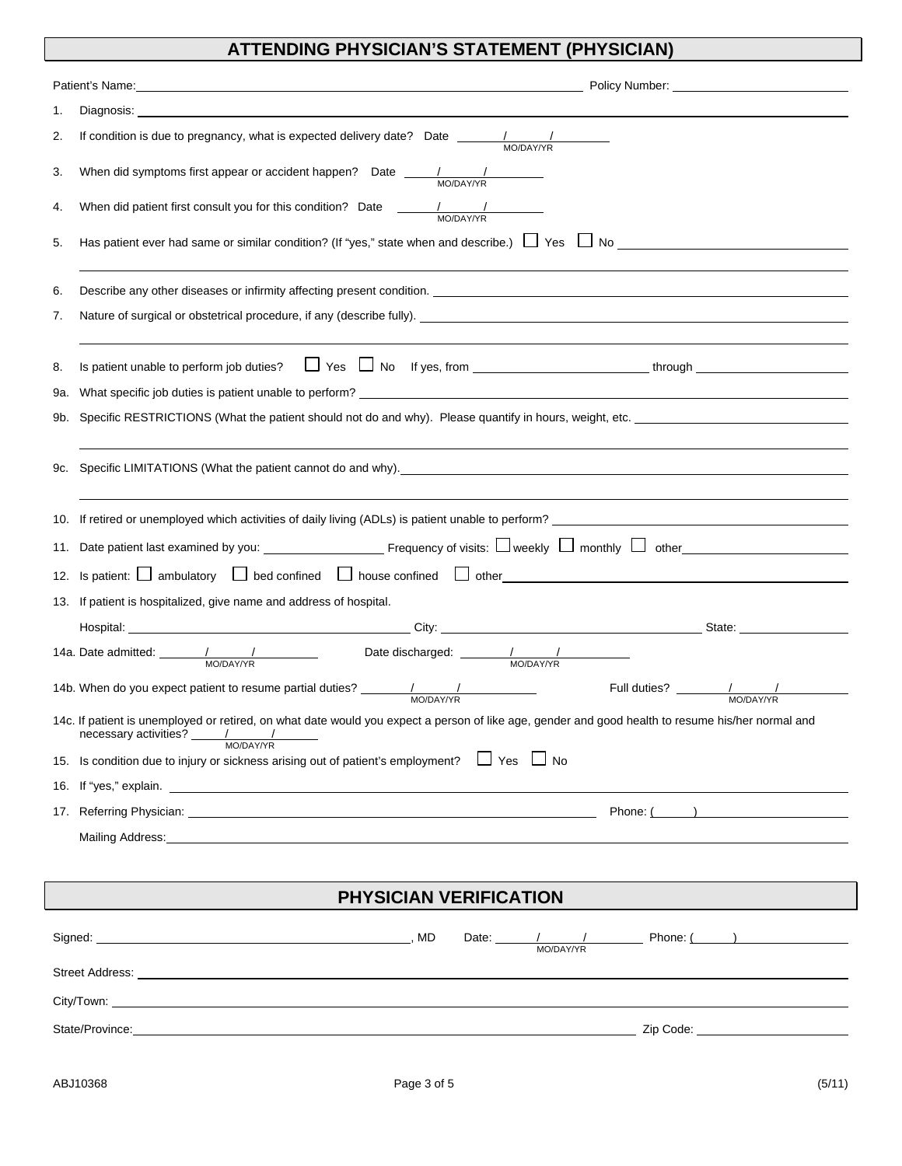## **ATTENDING PHYSICIAN'S STATEMENT (PHYSICIAN)**

|     | Policy Number: Value of the Contract of the Contract of the Contract of the Contract of the Contract of the Contract of the Contract of the Contract of the Contract of the Contract of the Contract of the Contract of the Co<br>Patient's Name: <u>contract the contract of the contract of the contract of the contract of the contract of the contract of the contract of the contract of the contract of the contract of the contract of the contract of the </u>                                                                                                                                                                                                                                                                                                                                          |
|-----|-----------------------------------------------------------------------------------------------------------------------------------------------------------------------------------------------------------------------------------------------------------------------------------------------------------------------------------------------------------------------------------------------------------------------------------------------------------------------------------------------------------------------------------------------------------------------------------------------------------------------------------------------------------------------------------------------------------------------------------------------------------------------------------------------------------------|
| 1.  |                                                                                                                                                                                                                                                                                                                                                                                                                                                                                                                                                                                                                                                                                                                                                                                                                 |
| 2.  | If condition is due to pregnancy, what is expected delivery date? Date $\frac{1}{\text{MO}/\text{DA}Y/\text{TR}}$                                                                                                                                                                                                                                                                                                                                                                                                                                                                                                                                                                                                                                                                                               |
| 3.  | When did symptoms first appear or accident happen? Date $\frac{1}{\text{MO}\text{DAY/R}}$                                                                                                                                                                                                                                                                                                                                                                                                                                                                                                                                                                                                                                                                                                                       |
| 4.  | When did patient first consult you for this condition? Date $\frac{1}{\text{MODAY/NR}}$                                                                                                                                                                                                                                                                                                                                                                                                                                                                                                                                                                                                                                                                                                                         |
| 5.  | Has patient ever had same or similar condition? (If "yes," state when and describe.) $\Box$ Yes $\Box$ No                                                                                                                                                                                                                                                                                                                                                                                                                                                                                                                                                                                                                                                                                                       |
| 6.  | Describe any other diseases or infirmity affecting present condition. Letter and the conditional condition of the condition of the condition of the condition of the condition of the condition of the condition of the condit                                                                                                                                                                                                                                                                                                                                                                                                                                                                                                                                                                                  |
| 7.  | Nature of surgical or obstetrical procedure, if any (describe fully). Nature and the state of surgical or obstetrical procedure, if any (describe fully).                                                                                                                                                                                                                                                                                                                                                                                                                                                                                                                                                                                                                                                       |
| 8.  |                                                                                                                                                                                                                                                                                                                                                                                                                                                                                                                                                                                                                                                                                                                                                                                                                 |
| 9a. | What specific job duties is patient unable to perform?<br>The material contract of the state of the state of the state of the state of the state of the state of the state of the state of the state of the state of the state o                                                                                                                                                                                                                                                                                                                                                                                                                                                                                                                                                                                |
| 9b. | Specific RESTRICTIONS (What the patient should not do and why). Please quantify in hours, weight, etc.                                                                                                                                                                                                                                                                                                                                                                                                                                                                                                                                                                                                                                                                                                          |
| 9c. | Specific LIMITATIONS (What the patient cannot do and why).<br>Specific LIMITATIONS (What the patient cannot do and why).<br>2014                                                                                                                                                                                                                                                                                                                                                                                                                                                                                                                                                                                                                                                                                |
|     |                                                                                                                                                                                                                                                                                                                                                                                                                                                                                                                                                                                                                                                                                                                                                                                                                 |
|     |                                                                                                                                                                                                                                                                                                                                                                                                                                                                                                                                                                                                                                                                                                                                                                                                                 |
|     | Is patient: $\Box$ ambulatory $\Box$ bed confined $\Box$ house confined $\Box$ other                                                                                                                                                                                                                                                                                                                                                                                                                                                                                                                                                                                                                                                                                                                            |
|     | 13. If patient is hospitalized, give name and address of hospital.                                                                                                                                                                                                                                                                                                                                                                                                                                                                                                                                                                                                                                                                                                                                              |
|     | Hospital: State: State: State: State: State: State: State: State: State: State: State: State: State: State: State: State: State: State: State: State: State: State: State: State: State: State: State: State: State: State: St                                                                                                                                                                                                                                                                                                                                                                                                                                                                                                                                                                                  |
|     | 14a. Date admitted: $\frac{1}{\frac{1}{1-\frac{1}{1-\frac{1}{1-\frac{1}{1-\frac{1}{1-\frac{1}{1-\frac{1}{1-\frac{1}{1-\frac{1}{1-\frac{1}{1-\frac{1}{1-\frac{1}{1-\frac{1}{1-\frac{1}{1-\frac{1}{1-\frac{1}{1-\frac{1}{1-\frac{1}{1-\frac{1}{1-\frac{1}{1-\frac{1}{1-\frac{1}{1-\frac{1}{1-\frac{1}{1-\frac{1}{1-\frac{1}{1-\frac{1}{1-\frac{1}{1-\frac{1}{1-\frac{1}{1-\frac{1}{1-\frac{1}{1-\frac{$<br>Date discharged: $\frac{1}{\frac{1}{1-\frac{1}{1-\frac{1}{1-\frac{1}{1-\frac{1}{1-\frac{1}{1-\frac{1}{1-\frac{1}{1-\frac{1}{1-\frac{1}{1-\frac{1}{1-\frac{1}{1-\frac{1}{1-\frac{1}{1-\frac{1}{1-\frac{1}{1-\frac{1}{1-\frac{1}{1-\frac{1}{1-\frac{1}{1-\frac{1}{1-\frac{1}{1-\frac{1}{1-\frac{1}{1-\frac{1}{1-\frac{1}{1-\frac{1}{1-\frac{1}{1-\frac{1}{1-\frac{1}{1-\frac{1}{1-\frac{1}{1-\frac{1}{1$ |
|     | 14b. When do you expect patient to resume partial duties? $\frac{1}{\text{MODAY/NR}}$                                                                                                                                                                                                                                                                                                                                                                                                                                                                                                                                                                                                                                                                                                                           |
|     | 14c. If patient is unemployed or retired, on what date would you expect a person of like age, gender and good health to resume his/her normal and<br>If paners is above, $\frac{1}{\sqrt{1-\frac{1}{1-\frac{1}{1-\frac{1}{1-\frac{1}{1-\frac{1}{1-\frac{1}{1-\frac{1}{1-\frac{1}{1-\frac{1}{1-\frac{1}{1-\frac{1}{1-\frac{1}{1-\frac{1}{1-\frac{1}{1-\frac{1}{1-\frac{1}{1-\frac{1}{1-\frac{1}{1-\frac{1}{1-\frac{1}{1-\frac{1}{1-\frac{1}{1-\frac{1}{1-\frac{1}{1-\frac{1}{1-\frac{1}{1-\frac{1}{1-\frac{1}{1-\frac{1}{1-\frac{1}{1-\frac{1}{1-\frac{1}{$                                                                                                                                                                                                                                                      |
|     | 15. Is condition due to injury or sickness arising out of patient's employment? $\Box$ Yes $\Box$ No                                                                                                                                                                                                                                                                                                                                                                                                                                                                                                                                                                                                                                                                                                            |
|     | 16. If "yes," explain.                                                                                                                                                                                                                                                                                                                                                                                                                                                                                                                                                                                                                                                                                                                                                                                          |
|     |                                                                                                                                                                                                                                                                                                                                                                                                                                                                                                                                                                                                                                                                                                                                                                                                                 |
|     |                                                                                                                                                                                                                                                                                                                                                                                                                                                                                                                                                                                                                                                                                                                                                                                                                 |
|     |                                                                                                                                                                                                                                                                                                                                                                                                                                                                                                                                                                                                                                                                                                                                                                                                                 |
|     |                                                                                                                                                                                                                                                                                                                                                                                                                                                                                                                                                                                                                                                                                                                                                                                                                 |
|     | <b>PHYSICIAN VERIFICATION</b>                                                                                                                                                                                                                                                                                                                                                                                                                                                                                                                                                                                                                                                                                                                                                                                   |
|     | Date: $\qquad \qquad$<br>$\frac{1}{100}$ MO/DAY/YR                                                                                                                                                                                                                                                                                                                                                                                                                                                                                                                                                                                                                                                                                                                                                              |
|     |                                                                                                                                                                                                                                                                                                                                                                                                                                                                                                                                                                                                                                                                                                                                                                                                                 |
|     |                                                                                                                                                                                                                                                                                                                                                                                                                                                                                                                                                                                                                                                                                                                                                                                                                 |
|     |                                                                                                                                                                                                                                                                                                                                                                                                                                                                                                                                                                                                                                                                                                                                                                                                                 |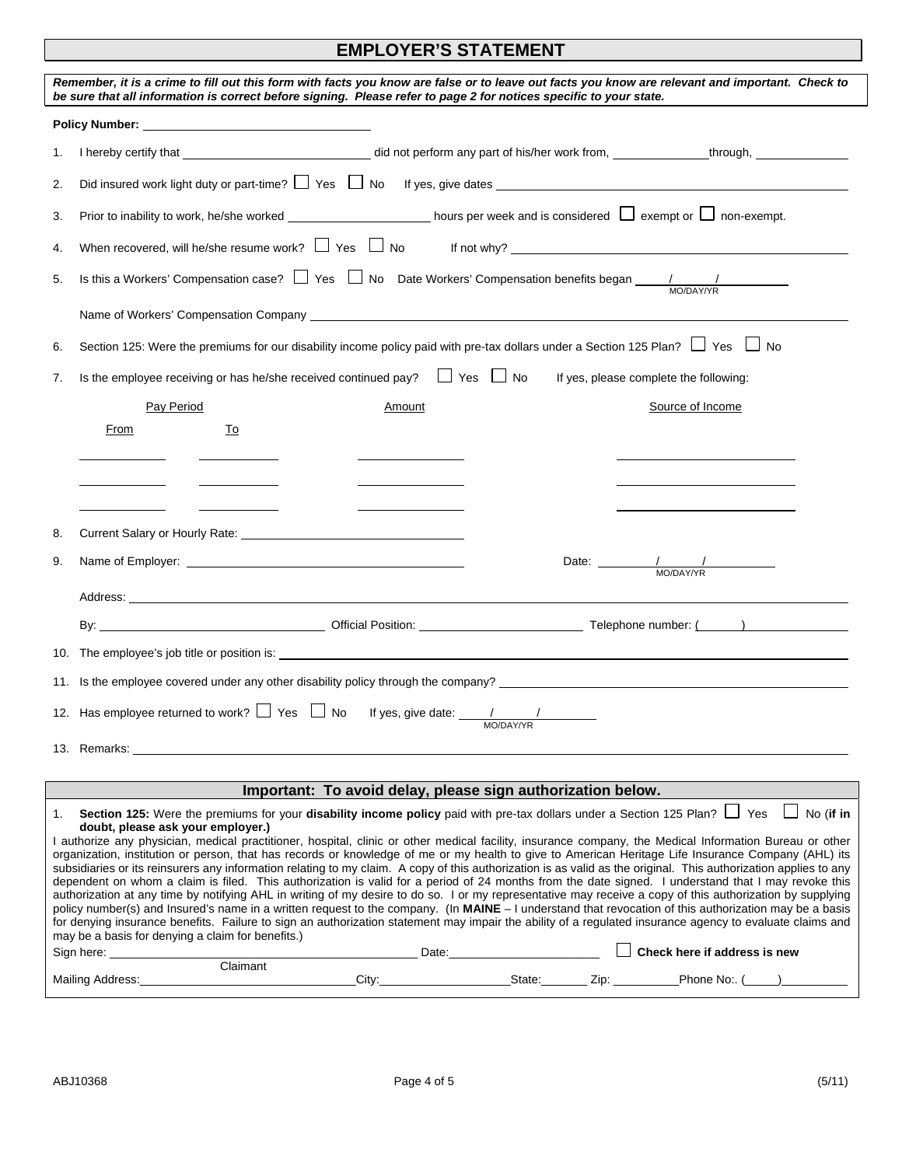### **EMPLOYER'S STATEMENT**

|                                                                                                                                                                                                                                                                                                                                                                                                                                                                                                                                                                                                                                                                                                                                                                                                                                                                                                                                                                                                                        | Remember, it is a crime to fill out this form with facts you know are false or to leave out facts you know are relevant and important. Check to<br>be sure that all information is correct before signing. Please refer to page 2 for notices specific to your state. |  |  |  |
|------------------------------------------------------------------------------------------------------------------------------------------------------------------------------------------------------------------------------------------------------------------------------------------------------------------------------------------------------------------------------------------------------------------------------------------------------------------------------------------------------------------------------------------------------------------------------------------------------------------------------------------------------------------------------------------------------------------------------------------------------------------------------------------------------------------------------------------------------------------------------------------------------------------------------------------------------------------------------------------------------------------------|-----------------------------------------------------------------------------------------------------------------------------------------------------------------------------------------------------------------------------------------------------------------------|--|--|--|
| Policy Number: Name of the Contract of the Contract of the Contract of the Contract of the Contract of the Contract of the Contract of the Contract of the Contract of the Contract of the Contract of the Contract of the Con                                                                                                                                                                                                                                                                                                                                                                                                                                                                                                                                                                                                                                                                                                                                                                                         |                                                                                                                                                                                                                                                                       |  |  |  |
| 1.                                                                                                                                                                                                                                                                                                                                                                                                                                                                                                                                                                                                                                                                                                                                                                                                                                                                                                                                                                                                                     |                                                                                                                                                                                                                                                                       |  |  |  |
| 2.                                                                                                                                                                                                                                                                                                                                                                                                                                                                                                                                                                                                                                                                                                                                                                                                                                                                                                                                                                                                                     | Did insured work light duty or part-time? $\Box$ Yes $\Box$ No If yes, give dates $\Box$ All examples and the substitution of the set of the set of the set of the set of the set of the set of the set of the set of the set of the                                  |  |  |  |
| 3.                                                                                                                                                                                                                                                                                                                                                                                                                                                                                                                                                                                                                                                                                                                                                                                                                                                                                                                                                                                                                     | Prior to inability to work, he/she worked _________________________ hours per week and is considered $\Box$ exempt or $\Box$ non-exempt.                                                                                                                              |  |  |  |
| 4.                                                                                                                                                                                                                                                                                                                                                                                                                                                                                                                                                                                                                                                                                                                                                                                                                                                                                                                                                                                                                     |                                                                                                                                                                                                                                                                       |  |  |  |
| 5.                                                                                                                                                                                                                                                                                                                                                                                                                                                                                                                                                                                                                                                                                                                                                                                                                                                                                                                                                                                                                     | Is this a Workers' Compensation case? $\Box$ Yes $\Box$ No Date Workers' Compensation benefits began $\frac{1}{\text{MO}/\text{DA}Y/\text{NR}}$                                                                                                                       |  |  |  |
|                                                                                                                                                                                                                                                                                                                                                                                                                                                                                                                                                                                                                                                                                                                                                                                                                                                                                                                                                                                                                        | Name of Workers' Compensation Company Letter and Company Letter and Company Company of Workers' Company Letter                                                                                                                                                        |  |  |  |
| 6.                                                                                                                                                                                                                                                                                                                                                                                                                                                                                                                                                                                                                                                                                                                                                                                                                                                                                                                                                                                                                     | Section 125: Were the premiums for our disability income policy paid with pre-tax dollars under a Section 125 Plan? $\Box$ Yes $\Box$ No                                                                                                                              |  |  |  |
| 7.                                                                                                                                                                                                                                                                                                                                                                                                                                                                                                                                                                                                                                                                                                                                                                                                                                                                                                                                                                                                                     | Is the employee receiving or has he/she received continued pay? $\Box$ Yes $\Box$ No<br>If yes, please complete the following:                                                                                                                                        |  |  |  |
|                                                                                                                                                                                                                                                                                                                                                                                                                                                                                                                                                                                                                                                                                                                                                                                                                                                                                                                                                                                                                        | Pay Period<br>Source of Income<br>Amount                                                                                                                                                                                                                              |  |  |  |
|                                                                                                                                                                                                                                                                                                                                                                                                                                                                                                                                                                                                                                                                                                                                                                                                                                                                                                                                                                                                                        | To<br>From                                                                                                                                                                                                                                                            |  |  |  |
|                                                                                                                                                                                                                                                                                                                                                                                                                                                                                                                                                                                                                                                                                                                                                                                                                                                                                                                                                                                                                        |                                                                                                                                                                                                                                                                       |  |  |  |
|                                                                                                                                                                                                                                                                                                                                                                                                                                                                                                                                                                                                                                                                                                                                                                                                                                                                                                                                                                                                                        |                                                                                                                                                                                                                                                                       |  |  |  |
| 8.                                                                                                                                                                                                                                                                                                                                                                                                                                                                                                                                                                                                                                                                                                                                                                                                                                                                                                                                                                                                                     |                                                                                                                                                                                                                                                                       |  |  |  |
| 9.                                                                                                                                                                                                                                                                                                                                                                                                                                                                                                                                                                                                                                                                                                                                                                                                                                                                                                                                                                                                                     |                                                                                                                                                                                                                                                                       |  |  |  |
|                                                                                                                                                                                                                                                                                                                                                                                                                                                                                                                                                                                                                                                                                                                                                                                                                                                                                                                                                                                                                        | Date: $\frac{1}{MOPAY/TR}$                                                                                                                                                                                                                                            |  |  |  |
|                                                                                                                                                                                                                                                                                                                                                                                                                                                                                                                                                                                                                                                                                                                                                                                                                                                                                                                                                                                                                        |                                                                                                                                                                                                                                                                       |  |  |  |
|                                                                                                                                                                                                                                                                                                                                                                                                                                                                                                                                                                                                                                                                                                                                                                                                                                                                                                                                                                                                                        |                                                                                                                                                                                                                                                                       |  |  |  |
|                                                                                                                                                                                                                                                                                                                                                                                                                                                                                                                                                                                                                                                                                                                                                                                                                                                                                                                                                                                                                        |                                                                                                                                                                                                                                                                       |  |  |  |
|                                                                                                                                                                                                                                                                                                                                                                                                                                                                                                                                                                                                                                                                                                                                                                                                                                                                                                                                                                                                                        | 12. Has employee returned to work? $\Box$ Yes $\Box$ No If yes, give date: $\frac{1}{\text{MO}/\text{DA}Y/\text{PR}}$                                                                                                                                                 |  |  |  |
|                                                                                                                                                                                                                                                                                                                                                                                                                                                                                                                                                                                                                                                                                                                                                                                                                                                                                                                                                                                                                        |                                                                                                                                                                                                                                                                       |  |  |  |
|                                                                                                                                                                                                                                                                                                                                                                                                                                                                                                                                                                                                                                                                                                                                                                                                                                                                                                                                                                                                                        |                                                                                                                                                                                                                                                                       |  |  |  |
| Important: To avoid delay, please sign authorization below.                                                                                                                                                                                                                                                                                                                                                                                                                                                                                                                                                                                                                                                                                                                                                                                                                                                                                                                                                            |                                                                                                                                                                                                                                                                       |  |  |  |
| 1. Section 125: Were the premiums for your disability income policy paid with pre-tax dollars under a Section 125 Plan? If Yes In No (if in<br>doubt, please ask your employer.)<br>I authorize any physician, medical practitioner, hospital, clinic or other medical facility, insurance company, the Medical Information Bureau or other                                                                                                                                                                                                                                                                                                                                                                                                                                                                                                                                                                                                                                                                            |                                                                                                                                                                                                                                                                       |  |  |  |
| organization, institution or person, that has records or knowledge of me or my health to give to American Heritage Life Insurance Company (AHL) its<br>subsidiaries or its reinsurers any information relating to my claim. A copy of this authorization is as valid as the original. This authorization applies to any<br>dependent on whom a claim is filed. This authorization is valid for a period of 24 months from the date signed. I understand that I may revoke this<br>authorization at any time by notifying AHL in writing of my desire to do so. I or my representative may receive a copy of this authorization by supplying<br>policy number(s) and Insured's name in a written request to the company. (In MAINE - I understand that revocation of this authorization may be a basis<br>for denying insurance benefits. Failure to sign an authorization statement may impair the ability of a regulated insurance agency to evaluate claims and<br>may be a basis for denying a claim for benefits.) |                                                                                                                                                                                                                                                                       |  |  |  |
|                                                                                                                                                                                                                                                                                                                                                                                                                                                                                                                                                                                                                                                                                                                                                                                                                                                                                                                                                                                                                        | Sign here: <u>____________</u><br>Claimant                                                                                                                                                                                                                            |  |  |  |
|                                                                                                                                                                                                                                                                                                                                                                                                                                                                                                                                                                                                                                                                                                                                                                                                                                                                                                                                                                                                                        | City: ________________________State: ________ Zip: ___________Phone No:. (_____)___________<br>Mailing Address:____________                                                                                                                                           |  |  |  |